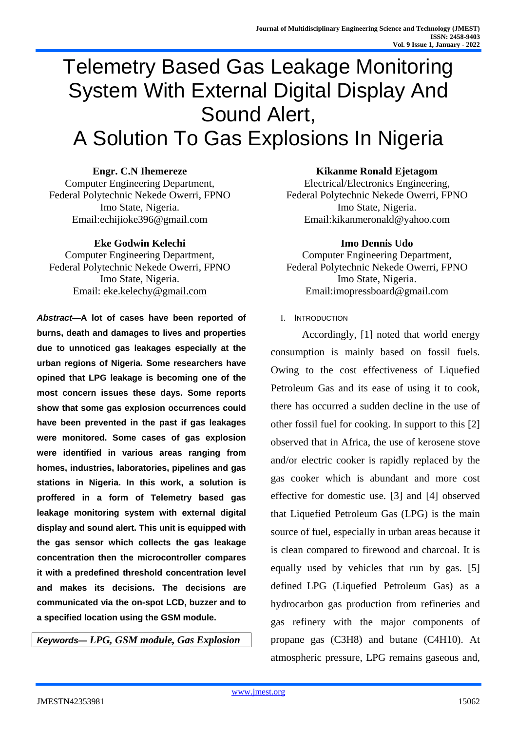# Telemetry Based Gas Leakage Monitoring System With External Digital Display And Sound Alert, A Solution To Gas Explosions In Nigeria

**Engr. C.N Ihemereze** Computer Engineering Department, Federal Polytechnic Nekede Owerri, FPNO Imo State, Nigeria. Email:echijioke396@gmail.com

#### **Eke Godwin Kelechi**

Computer Engineering Department, Federal Polytechnic Nekede Owerri, FPNO Imo State, Nigeria. Email: [eke.kelechy@gmail.com](mailto:eke.kelechy@gmail.com)

*Abstract***—A lot of cases have been reported of burns, death and damages to lives and properties due to unnoticed gas leakages especially at the urban regions of Nigeria. Some researchers have opined that LPG leakage is becoming one of the most concern issues these days. Some reports show that some gas explosion occurrences could have been prevented in the past if gas leakages were monitored. Some cases of gas explosion were identified in various areas ranging from homes, industries, laboratories, pipelines and gas stations in Nigeria. In this work, a solution is proffered in a form of Telemetry based gas leakage monitoring system with external digital display and sound alert. This unit is equipped with the gas sensor which collects the gas leakage concentration then the microcontroller compares it with a predefined threshold concentration level and makes its decisions. The decisions are communicated via the on-spot LCD, buzzer and to a specified location using the GSM module.**

*Keywords— LPG, GSM module, Gas Explosion*

**Kikanme Ronald Ejetagom**

Electrical/Electronics Engineering, Federal Polytechnic Nekede Owerri, FPNO Imo State, Nigeria. Email:kikanmeronald@yahoo.com

#### **Imo Dennis Udo**

Computer Engineering Department, Federal Polytechnic Nekede Owerri, FPNO Imo State, Nigeria. Email:imopressboard@gmail.com

I. INTRODUCTION

Accordingly, [1] noted that world energy consumption is mainly based on fossil fuels. Owing to the cost effectiveness of Liquefied Petroleum Gas and its ease of using it to cook, there has occurred a sudden decline in the use of other fossil fuel for cooking. In support to this [2] observed that in Africa, the use of kerosene stove and/or electric cooker is rapidly replaced by the gas cooker which is abundant and more cost effective for domestic use. [3] and [4] observed that Liquefied Petroleum Gas (LPG) is the main source of fuel, especially in urban areas because it is clean compared to firewood and charcoal. It is equally used by vehicles that run by gas. [5] defined LPG (Liquefied Petroleum Gas) as a hydrocarbon gas production from refineries and gas refinery with the major components of propane gas (C3H8) and butane (C4H10). At atmospheric pressure, LPG remains gaseous and,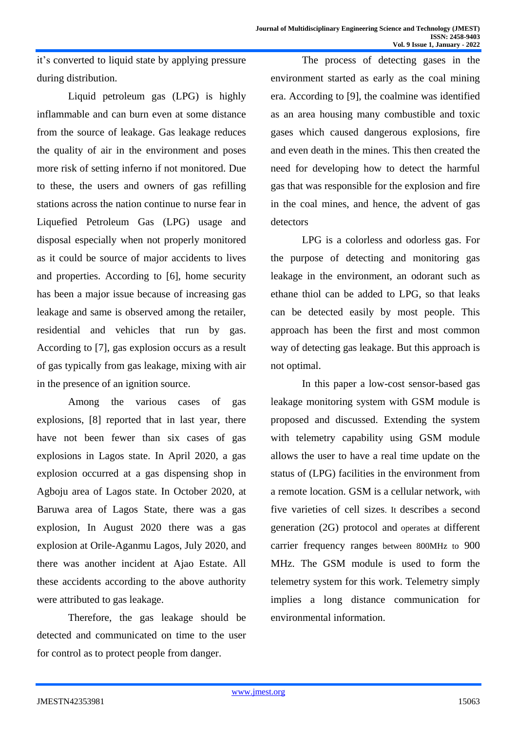it's converted to liquid state by applying pressure during distribution.

Liquid petroleum gas (LPG) is highly inflammable and can burn even at some distance from the source of leakage. Gas leakage reduces the quality of air in the environment and poses more risk of setting inferno if not monitored. Due to these, the users and owners of gas refilling stations across the nation continue to nurse fear in Liquefied Petroleum Gas (LPG) usage and disposal especially when not properly monitored as it could be source of major accidents to lives and properties. According to [6], home security has been a major issue because of increasing gas leakage and same is observed among the retailer, residential and vehicles that run by gas. According to [7], gas explosion occurs as a result of gas typically from gas leakage, mixing with air in the presence of an ignition source.

Among the various cases of gas explosions, [8] reported that in last year, there have not been fewer than six cases of gas explosions in Lagos state. In April 2020, a gas explosion occurred at a gas dispensing shop in Agboju area of Lagos state. In October 2020, at Baruwa area of Lagos State, there was a gas explosion, In August 2020 there was a gas explosion at Orile-Aganmu Lagos, July 2020, and there was another incident at Ajao Estate. All these accidents according to the above authority were attributed to gas leakage.

Therefore, the gas leakage should be detected and communicated on time to the user for control as to protect people from danger.

The process of detecting gases in the environment started as early as the coal mining era. According to [9], the coalmine was identified as an area housing many combustible and toxic gases which caused dangerous explosions, fire and even death in the mines. This then created the need for developing how to detect the harmful gas that was responsible for the explosion and fire in the coal mines, and hence, the advent of gas detectors

LPG is a colorless and odorless gas. For the purpose of detecting and monitoring gas leakage in the environment, an odorant such as ethane thiol can be added to LPG, so that leaks can be detected easily by most people. This approach has been the first and most common way of detecting gas leakage. But this approach is not optimal.

In this paper a low-cost sensor-based gas leakage monitoring system with GSM module is proposed and discussed. Extending the system with telemetry capability using GSM module allows the user to have a real time update on the status of (LPG) facilities in the environment from a remote location. GSM is a cellular network, with five varieties of cell sizes. It describes a second generation (2G) protocol and operates at different carrier frequency ranges between 800MHz to 900 MHz. The GSM module is used to form the telemetry system for this work. Telemetry simply implies a long distance communication for environmental information.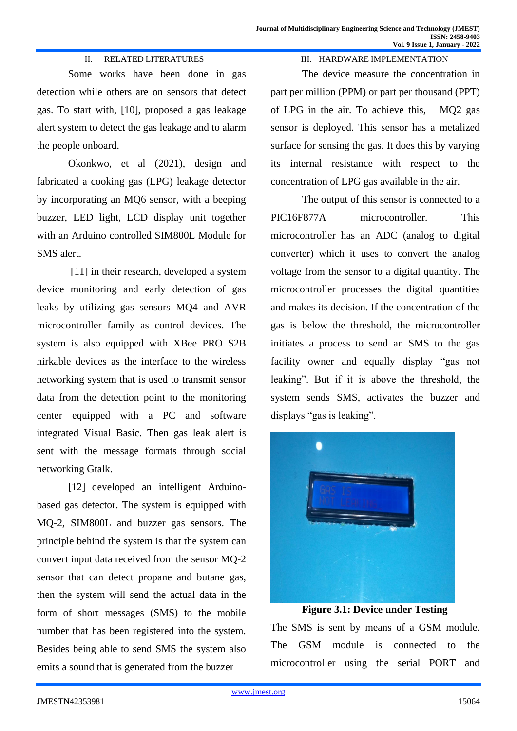III. HARDWARE IMPLEMENTATION

#### II. RELATED LITERATURES

Some works have been done in gas detection while others are on sensors that detect gas. To start with, [10], proposed a gas leakage alert system to detect the gas leakage and to alarm the people onboard.

Okonkwo, et al (2021), design and fabricated a cooking gas (LPG) leakage detector by incorporating an MQ6 sensor, with a beeping buzzer, LED light, LCD display unit together with an Arduino controlled SIM800L Module for SMS alert.

[11] in their research, developed a system device monitoring and early detection of gas leaks by utilizing gas sensors MQ4 and AVR microcontroller family as control devices. The system is also equipped with XBee PRO S2B nirkable devices as the interface to the wireless networking system that is used to transmit sensor data from the detection point to the monitoring center equipped with a PC and software integrated Visual Basic. Then gas leak alert is sent with the message formats through social networking Gtalk.

[12] developed an intelligent Arduinobased gas detector. The system is equipped with MQ-2, SIM800L and buzzer gas sensors. The principle behind the system is that the system can convert input data received from the sensor MQ-2 sensor that can detect propane and butane gas, then the system will send the actual data in the form of short messages (SMS) to the mobile number that has been registered into the system. Besides being able to send SMS the system also emits a sound that is generated from the buzzer

The device measure the concentration in part per million (PPM) or part per thousand (PPT) of LPG in the air. To achieve this, MQ2 gas sensor is deployed. This sensor has a metalized surface for sensing the gas. It does this by varying its internal resistance with respect to the concentration of LPG gas available in the air.

The output of this sensor is connected to a PIC16F877A microcontroller. This microcontroller has an ADC (analog to digital converter) which it uses to convert the analog voltage from the sensor to a digital quantity. The microcontroller processes the digital quantities and makes its decision. If the concentration of the gas is below the threshold, the microcontroller initiates a process to send an SMS to the gas facility owner and equally display "gas not leaking". But if it is above the threshold, the system sends SMS, activates the buzzer and displays "gas is leaking".



The SMS is sent by means of a GSM module. The GSM module is connected to the microcontroller using the serial PORT and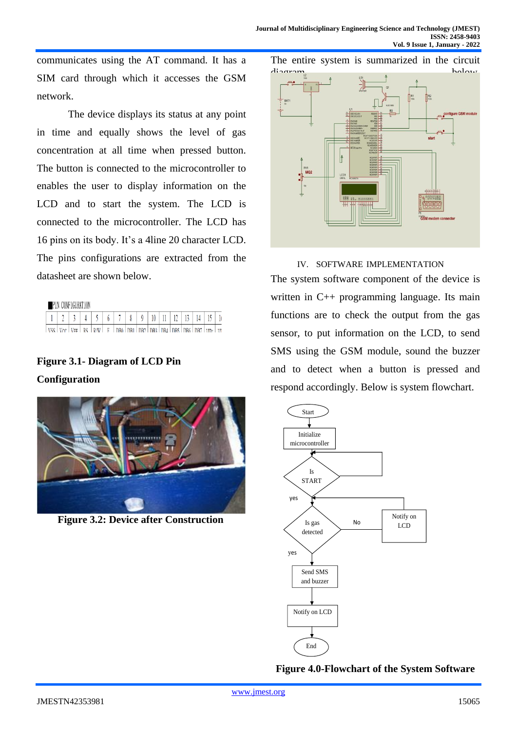communicates using the AT command. It has a SIM card through which it accesses the GSM network.

The device displays its status at any point in time and equally shows the level of gas concentration at all time when pressed button. The button is connected to the microcontroller to enables the user to display information on the LCD and to start the system. The LCD is connected to the microcontroller. The LCD has 16 pins on its body. It's a 4line 20 character LCD. The pins configurations are extracted from the datasheet are shown below.

| PIN CONFIGURATION |  |  |  |                                                                                                             |  |  |  |  |  |  |  |  |                           |  |  |
|-------------------|--|--|--|-------------------------------------------------------------------------------------------------------------|--|--|--|--|--|--|--|--|---------------------------|--|--|
|                   |  |  |  | $4 + 5 + 7$                                                                                                 |  |  |  |  |  |  |  |  | 6 7 8 9 10 11 12 13 14 15 |  |  |
|                   |  |  |  | ותו   אחז   קפרו   קפרו   קפרו   קפרו   קפרו   קפרו   קפרו   קפרו   קפרו   קפרו   קפרו   קפרו   קפרו   קפרו |  |  |  |  |  |  |  |  |                           |  |  |

## **Figure 3.1- Diagram of LCD Pin Configuration**



 **Figure 3.2: Device after Construction**

The entire system is summarized in the circuit



IV. SOFTWARE IMPLEMENTATION

The system software component of the device is written in C++ programming language. Its main functions are to check the output from the gas sensor, to put information on the LCD, to send SMS using the GSM module, sound the buzzer and to detect when a button is pressed and respond accordingly. Below is system flowchart.



**Figure 4.0-Flowchart of the System Software**